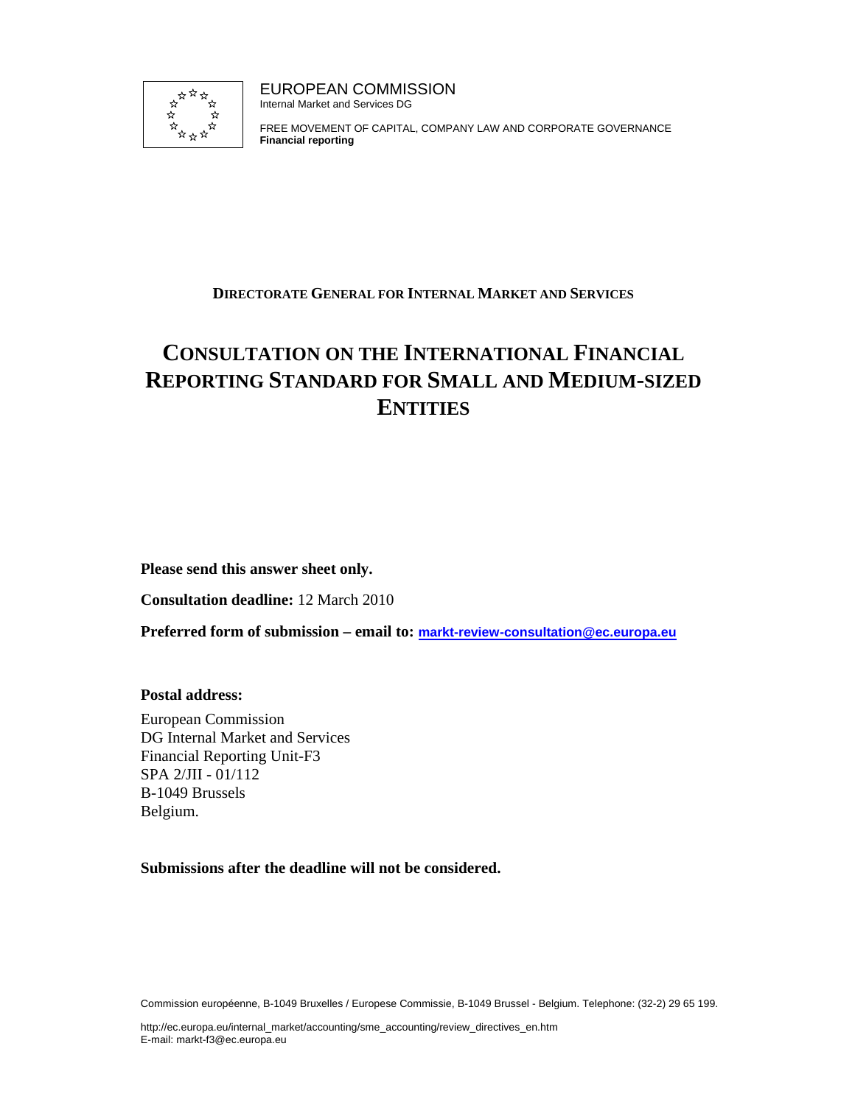

EUROPEAN COMMISSION Internal Market and Services DG

FREE MOVEMENT OF CAPITAL, COMPANY LAW AND CORPORATE GOVERNANCE **Financial reporting**

# **DIRECTORATE GENERAL FOR INTERNAL MARKET AND SERVICES**

# **CONSULTATION ON THE INTERNATIONAL FINANCIAL REPORTING STANDARD FOR SMALL AND MEDIUM-SIZED ENTITIES**

**Please send this answer sheet only.** 

**Consultation deadline:** 12 March 2010

**Preferred form of submission – email to: markt-review-consultation@ec.europa.eu**

**Postal address:** 

European Commission DG Internal Market and Services Financial Reporting Unit-F3 SPA 2/JII - 01/112 B-1049 Brussels Belgium.

**Submissions after the deadline will not be considered.** 

Commission européenne, B-1049 Bruxelles / Europese Commissie, B-1049 Brussel - Belgium. Telephone: (32-2) 29 65 199.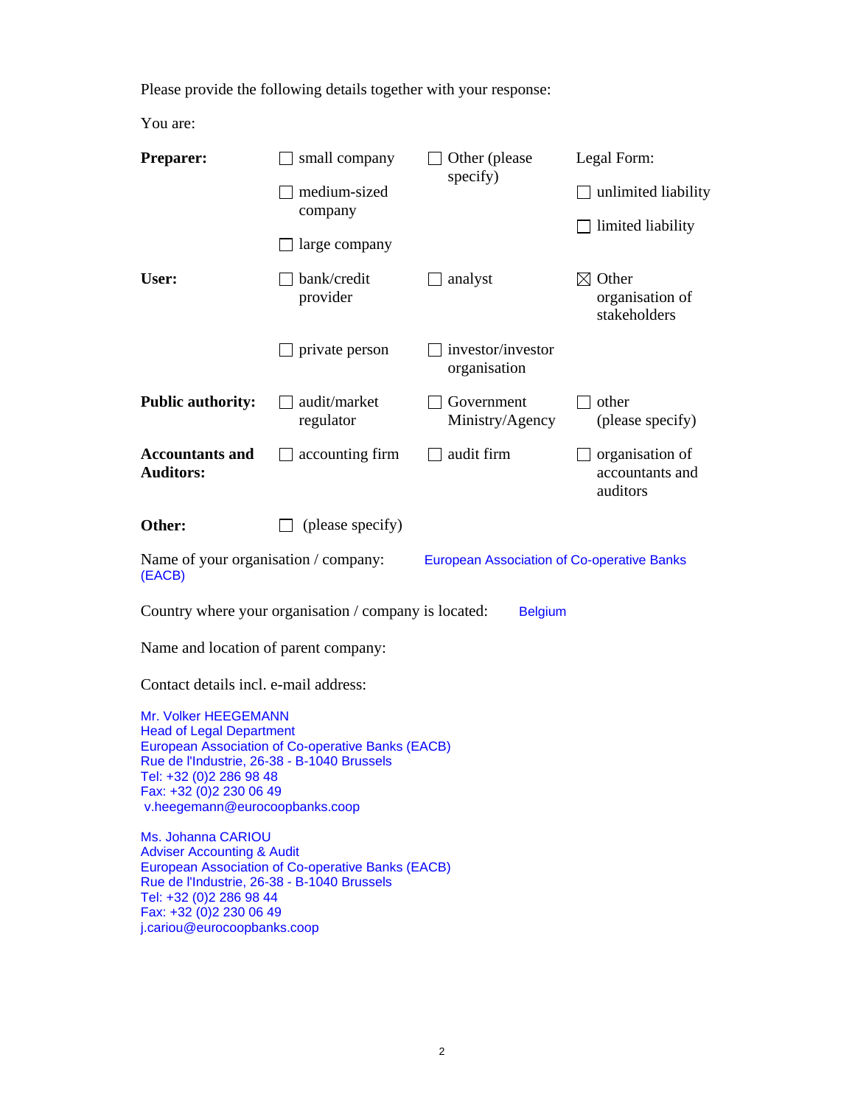Please provide the following details together with your response:

You are:

| <b>Preparer:</b>                                                                                                                                                                                | small company                                         | Other (please)<br>specify)                        | Legal Form:                                           |  |
|-------------------------------------------------------------------------------------------------------------------------------------------------------------------------------------------------|-------------------------------------------------------|---------------------------------------------------|-------------------------------------------------------|--|
|                                                                                                                                                                                                 | medium-sized<br>company                               |                                                   | unlimited liability                                   |  |
|                                                                                                                                                                                                 |                                                       |                                                   | $\exists$ limited liability                           |  |
|                                                                                                                                                                                                 | large company                                         |                                                   |                                                       |  |
| User:                                                                                                                                                                                           | bank/credit<br>provider                               | $\Box$ analyst                                    | $\boxtimes$ Other<br>organisation of<br>stakeholders  |  |
|                                                                                                                                                                                                 | private person                                        | investor/investor<br>organisation                 |                                                       |  |
| <b>Public authority:</b>                                                                                                                                                                        | audit/market<br>regulator                             | Government<br>Ministry/Agency                     | other<br>(please specify)                             |  |
| <b>Accountants and</b><br><b>Auditors:</b>                                                                                                                                                      | accounting firm                                       | $\Box$ audit firm                                 | $\Box$ organisation of<br>accountants and<br>auditors |  |
| Other:                                                                                                                                                                                          | (please specify)                                      |                                                   |                                                       |  |
| Name of your organisation / company:<br>(EACB)                                                                                                                                                  |                                                       | <b>European Association of Co-operative Banks</b> |                                                       |  |
|                                                                                                                                                                                                 | Country where your organisation / company is located: | <b>Belgium</b>                                    |                                                       |  |
| Name and location of parent company:                                                                                                                                                            |                                                       |                                                   |                                                       |  |
| Contact details incl. e-mail address:                                                                                                                                                           |                                                       |                                                   |                                                       |  |
| Mr. Volker HEEGEMANN<br><b>Head of Legal Department</b><br>Rue de l'Industrie, 26-38 - B-1040 Brussels<br>Tel: +32 (0)2 286 98 48<br>Fax: +32 (0)2 230 06 49<br>v.heegemann@eurocoopbanks.coop  | European Association of Co-operative Banks (EACB)     |                                                   |                                                       |  |
| Ms. Johanna CARIOU<br><b>Adviser Accounting &amp; Audit</b><br>Rue de l'Industrie, 26-38 - B-1040 Brussels<br>Tel: +32 (0)2 286 98 44<br>Fax: +32 (0)2 230 06 49<br>j.cariou@eurocoopbanks.coop | European Association of Co-operative Banks (EACB)     |                                                   |                                                       |  |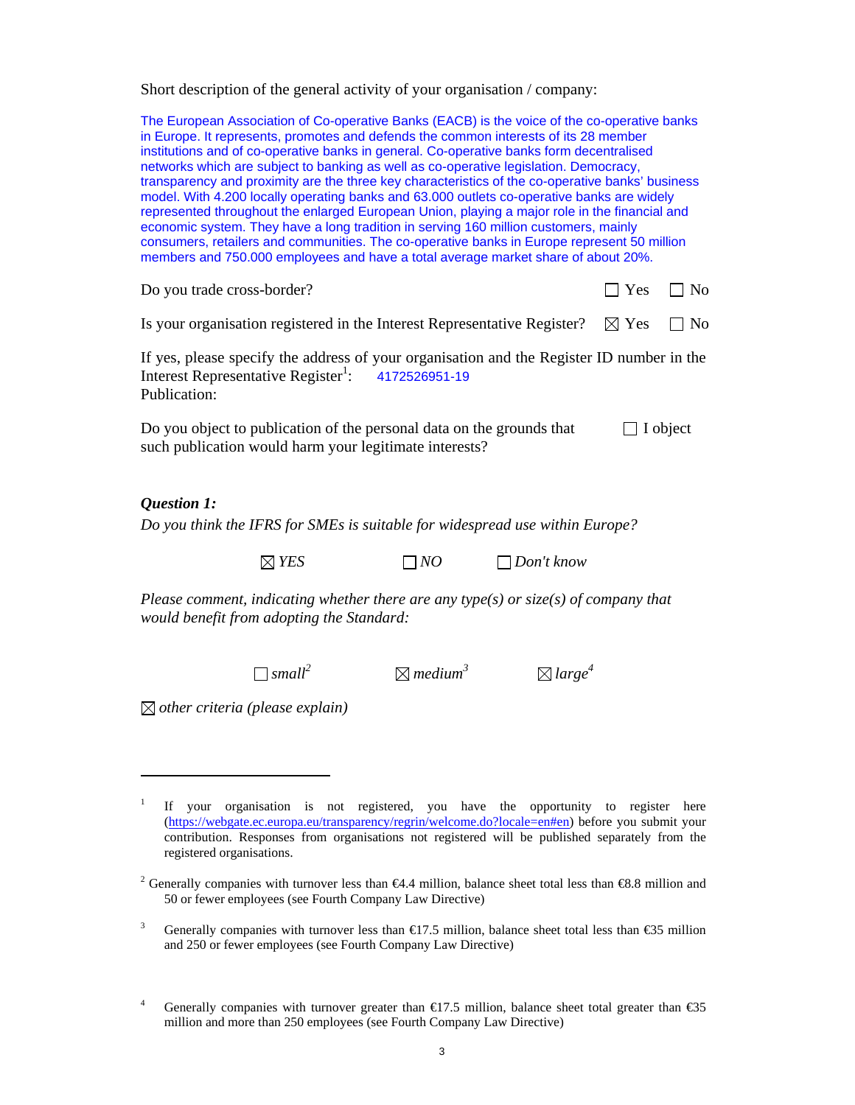Short description of the general activity of your organisation / company:

| The European Association of Co-operative Banks (EACB) is the voice of the co-operative banks<br>in Europe. It represents, promotes and defends the common interests of its 28 member<br>institutions and of co-operative banks in general. Co-operative banks form decentralised<br>networks which are subject to banking as well as co-operative legislation. Democracy,<br>transparency and proximity are the three key characteristics of the co-operative banks' business<br>model. With 4.200 locally operating banks and 63.000 outlets co-operative banks are widely<br>represented throughout the enlarged European Union, playing a major role in the financial and<br>economic system. They have a long tradition in serving 160 million customers, mainly<br>consumers, retailers and communities. The co-operative banks in Europe represent 50 million<br>members and 750.000 employees and have a total average market share of about 20%. |                                 |                                |                 |              |
|----------------------------------------------------------------------------------------------------------------------------------------------------------------------------------------------------------------------------------------------------------------------------------------------------------------------------------------------------------------------------------------------------------------------------------------------------------------------------------------------------------------------------------------------------------------------------------------------------------------------------------------------------------------------------------------------------------------------------------------------------------------------------------------------------------------------------------------------------------------------------------------------------------------------------------------------------------|---------------------------------|--------------------------------|-----------------|--------------|
| Do you trade cross-border?                                                                                                                                                                                                                                                                                                                                                                                                                                                                                                                                                                                                                                                                                                                                                                                                                                                                                                                               |                                 |                                | $\top$ Yes      | $\exists$ No |
| Is your organisation registered in the Interest Representative Register?                                                                                                                                                                                                                                                                                                                                                                                                                                                                                                                                                                                                                                                                                                                                                                                                                                                                                 |                                 |                                | $\boxtimes$ Yes | $\sqcap$ No  |
| If yes, please specify the address of your organisation and the Register ID number in the<br>Interest Representative Register <sup>1</sup> : 4172526951-19<br>Publication:                                                                                                                                                                                                                                                                                                                                                                                                                                                                                                                                                                                                                                                                                                                                                                               |                                 |                                |                 |              |
| Do you object to publication of the personal data on the grounds that<br>such publication would harm your legitimate interests?                                                                                                                                                                                                                                                                                                                                                                                                                                                                                                                                                                                                                                                                                                                                                                                                                          |                                 |                                | $\Box$ I object |              |
| Question 1:<br>Do you think the IFRS for SMEs is suitable for widespread use within Europe?                                                                                                                                                                                                                                                                                                                                                                                                                                                                                                                                                                                                                                                                                                                                                                                                                                                              |                                 |                                |                 |              |
| $\boxtimes$ YES                                                                                                                                                                                                                                                                                                                                                                                                                                                                                                                                                                                                                                                                                                                                                                                                                                                                                                                                          | $\neg NO$                       | $\Box$ Don't know              |                 |              |
| Please comment, indicating whether there are any type(s) or $size(s)$ of company that<br>would benefit from adopting the Standard:                                                                                                                                                                                                                                                                                                                                                                                                                                                                                                                                                                                                                                                                                                                                                                                                                       |                                 |                                |                 |              |
| $\Box$ small <sup>2</sup>                                                                                                                                                                                                                                                                                                                                                                                                                                                                                                                                                                                                                                                                                                                                                                                                                                                                                                                                | $\boxtimes$ medium <sup>3</sup> | $\boxtimes$ large <sup>4</sup> |                 |              |
| $\boxtimes$ other criteria (please explain)                                                                                                                                                                                                                                                                                                                                                                                                                                                                                                                                                                                                                                                                                                                                                                                                                                                                                                              |                                 |                                |                 |              |
| $\mathbf{1}$<br>If<br>organisation is<br>your<br>(https://webgate.ec.europa.eu/transparency/regrin/welcome.do?locale=en#en) before you submit your contribution. Responses from organisations not registered will be published separately from the<br>registered organisations.                                                                                                                                                                                                                                                                                                                                                                                                                                                                                                                                                                                                                                                                          | not registered, you have the    | opportunity                    | to<br>register  | here         |

- <sup>2</sup> Generally companies with turnover less than  $\epsilon 4.4$  million, balance sheet total less than  $\epsilon 8.8$  million and 50 or fewer employees (see Fourth Company Law Directive)
- 3 Generally companies with turnover less than €17.5 million, balance sheet total less than €35 million and 250 or fewer employees (see Fourth Company Law Directive)
- 4 Generally companies with turnover greater than  $\epsilon$ 17.5 million, balance sheet total greater than  $\epsilon$ 35 million and more than 250 employees (see Fourth Company Law Directive)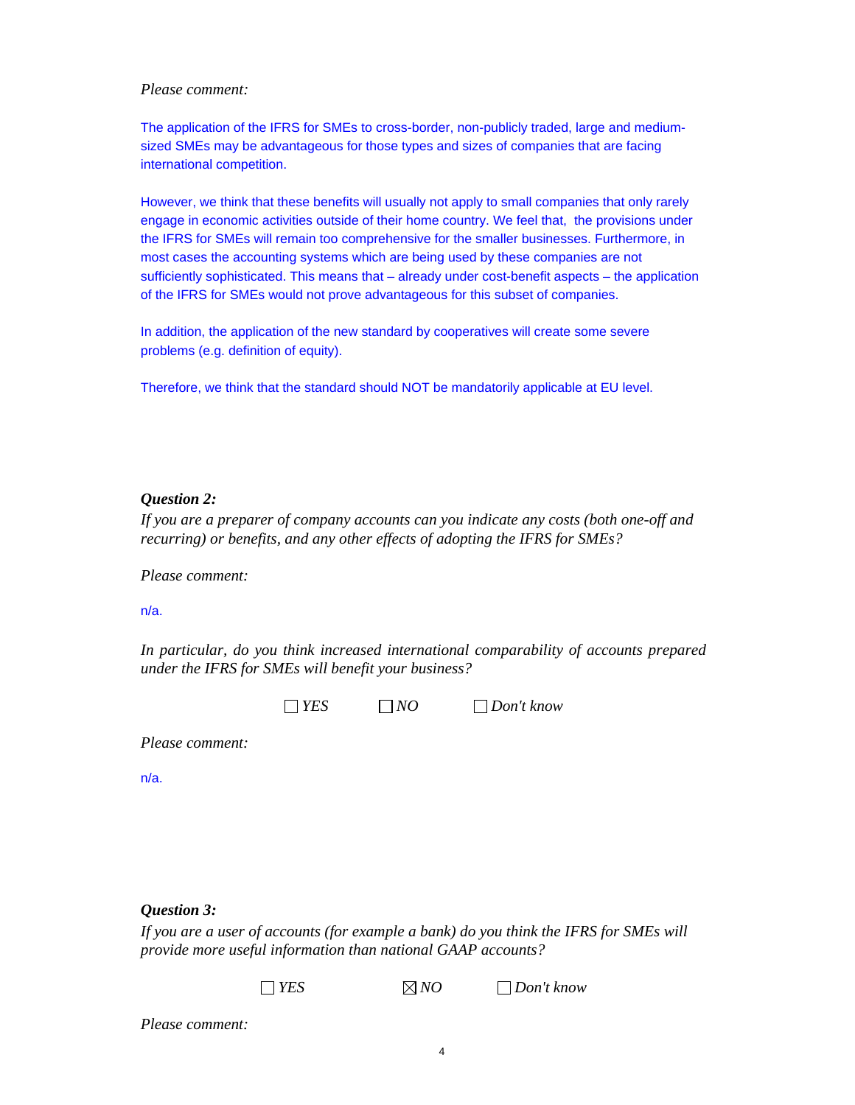#### *Please comment:*

The application of the IFRS for SMEs to cross-border, non-publicly traded, large and mediumsized SMEs may be advantageous for those types and sizes of companies that are facing international competition.

However, we think that these benefits will usually not apply to small companies that only rarely engage in economic activities outside of their home country. We feel that, the provisions under the IFRS for SMEs will remain too comprehensive for the smaller businesses. Furthermore, in most cases the accounting systems which are being used by these companies are not sufficiently sophisticated. This means that – already under cost-benefit aspects – the application of the IFRS for SMEs would not prove advantageous for this subset of companies.

In addition, the application of the new standard by cooperatives will create some severe problems (e.g. definition of equity).

Therefore, we think that the standard should NOT be mandatorily applicable at EU level.

## *Question 2:*

*If you are a preparer of company accounts can you indicate any costs (both one-off and recurring) or benefits, and any other effects of adopting the IFRS for SMEs?* 

*Please comment:*

## n/a.

*In particular, do you think increased international comparability of accounts prepared under the IFRS for SMEs will benefit your business?* 

*YES NO Don't know* 

*Please comment:*

n/a.

## *Question 3:*

*If you are a user of accounts (for example a bank) do you think the IFRS for SMEs will provide more useful information than national GAAP accounts?* 

*YES NO Don't know* 

*Please comment:*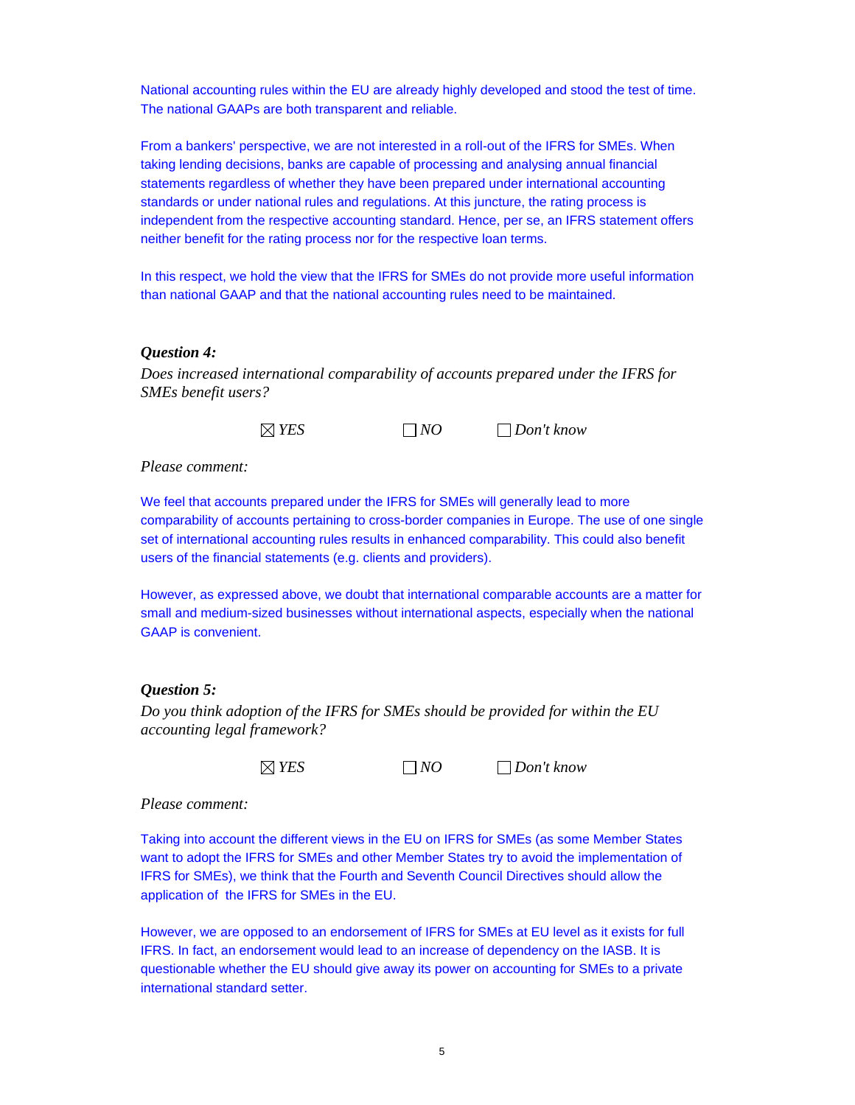National accounting rules within the EU are already highly developed and stood the test of time. The national GAAPs are both transparent and reliable.

From a bankers' perspective, we are not interested in a roll-out of the IFRS for SMEs. When taking lending decisions, banks are capable of processing and analysing annual financial statements regardless of whether they have been prepared under international accounting standards or under national rules and regulations. At this juncture, the rating process is independent from the respective accounting standard. Hence, per se, an IFRS statement offers neither benefit for the rating process nor for the respective loan terms.

In this respect, we hold the view that the IFRS for SMEs do not provide more useful information than national GAAP and that the national accounting rules need to be maintained.

#### *Question 4:*

*Does increased international comparability of accounts prepared under the IFRS for SMEs benefit users?* 

*YES NO Don't know* 

*Please comment:*

We feel that accounts prepared under the IFRS for SMEs will generally lead to more comparability of accounts pertaining to cross-border companies in Europe. The use of one single set of international accounting rules results in enhanced comparability. This could also benefit users of the financial statements (e.g. clients and providers).

However, as expressed above, we doubt that international comparable accounts are a matter for small and medium-sized businesses without international aspects, especially when the national GAAP is convenient.

## *Question 5:*

*Do you think adoption of the IFRS for SMEs should be provided for within the EU accounting legal framework?* 

*YES NO Don't know* 

*Please comment:*

Taking into account the different views in the EU on IFRS for SMEs (as some Member States want to adopt the IFRS for SMEs and other Member States try to avoid the implementation of IFRS for SMEs), we think that the Fourth and Seventh Council Directives should allow the application of the IFRS for SMEs in the EU.

However, we are opposed to an endorsement of IFRS for SMEs at EU level as it exists for full IFRS. In fact, an endorsement would lead to an increase of dependency on the IASB. It is questionable whether the EU should give away its power on accounting for SMEs to a private international standard setter.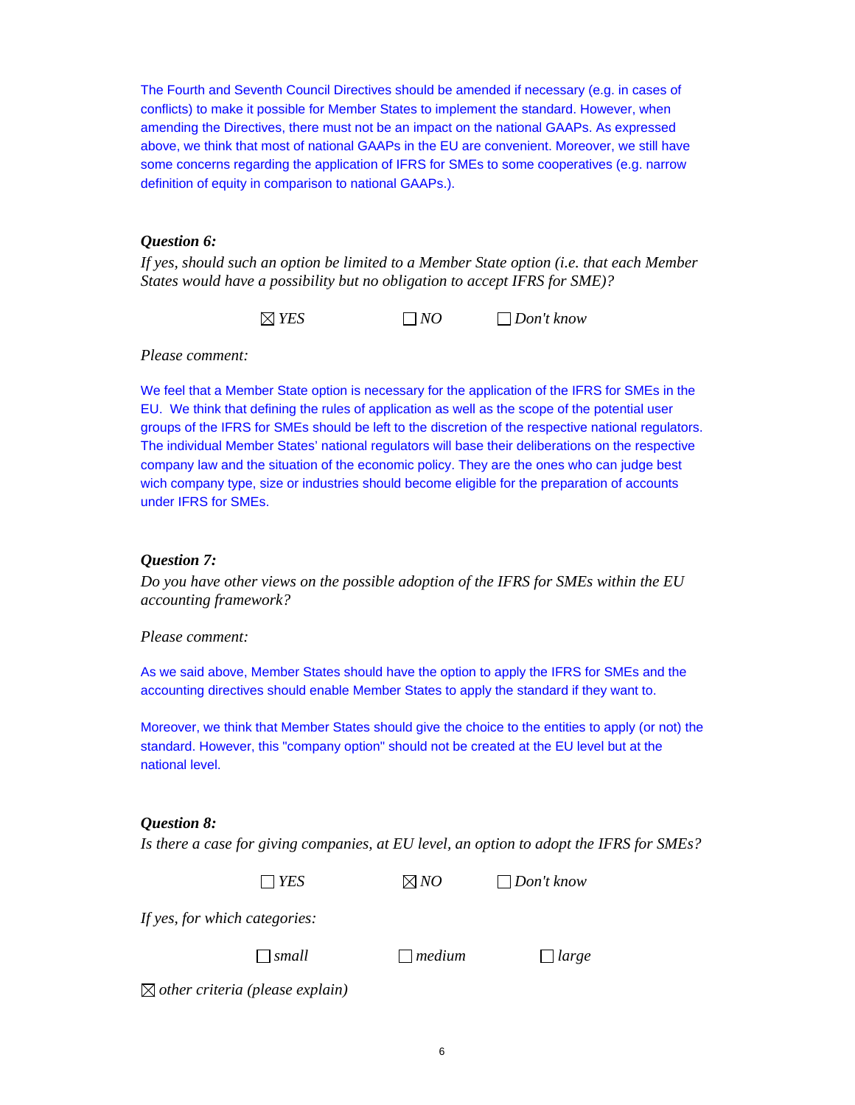The Fourth and Seventh Council Directives should be amended if necessary (e.g. in cases of conflicts) to make it possible for Member States to implement the standard. However, when amending the Directives, there must not be an impact on the national GAAPs. As expressed above, we think that most of national GAAPs in the EU are convenient. Moreover, we still have some concerns regarding the application of IFRS for SMEs to some cooperatives (e.g. narrow definition of equity in comparison to national GAAPs.).

## *Question 6:*

*If yes, should such an option be limited to a Member State option (i.e. that each Member States would have a possibility but no obligation to accept IFRS for SME)?* 

*YES NO Don't know* 

*Please comment:* 

We feel that a Member State option is necessary for the application of the IFRS for SMEs in the EU. We think that defining the rules of application as well as the scope of the potential user groups of the IFRS for SMEs should be left to the discretion of the respective national regulators. The individual Member States' national regulators will base their deliberations on the respective company law and the situation of the economic policy. They are the ones who can judge best wich company type, size or industries should become eligible for the preparation of accounts under IFRS for SMEs.

## *Question 7:*

*Do you have other views on the possible adoption of the IFRS for SMEs within the EU accounting framework?* 

*Please comment:* 

As we said above, Member States should have the option to apply the IFRS for SMEs and the accounting directives should enable Member States to apply the standard if they want to.

Moreover, we think that Member States should give the choice to the entities to apply (or not) the standard. However, this "company option" should not be created at the EU level but at the national level.

## *Question 8:*

*Is there a case for giving companies, at EU level, an option to adopt the IFRS for SMEs?* 

*YES NO Don't know* 

*If yes, for which categories:* 

*small medium large* 

*other criteria (please explain)*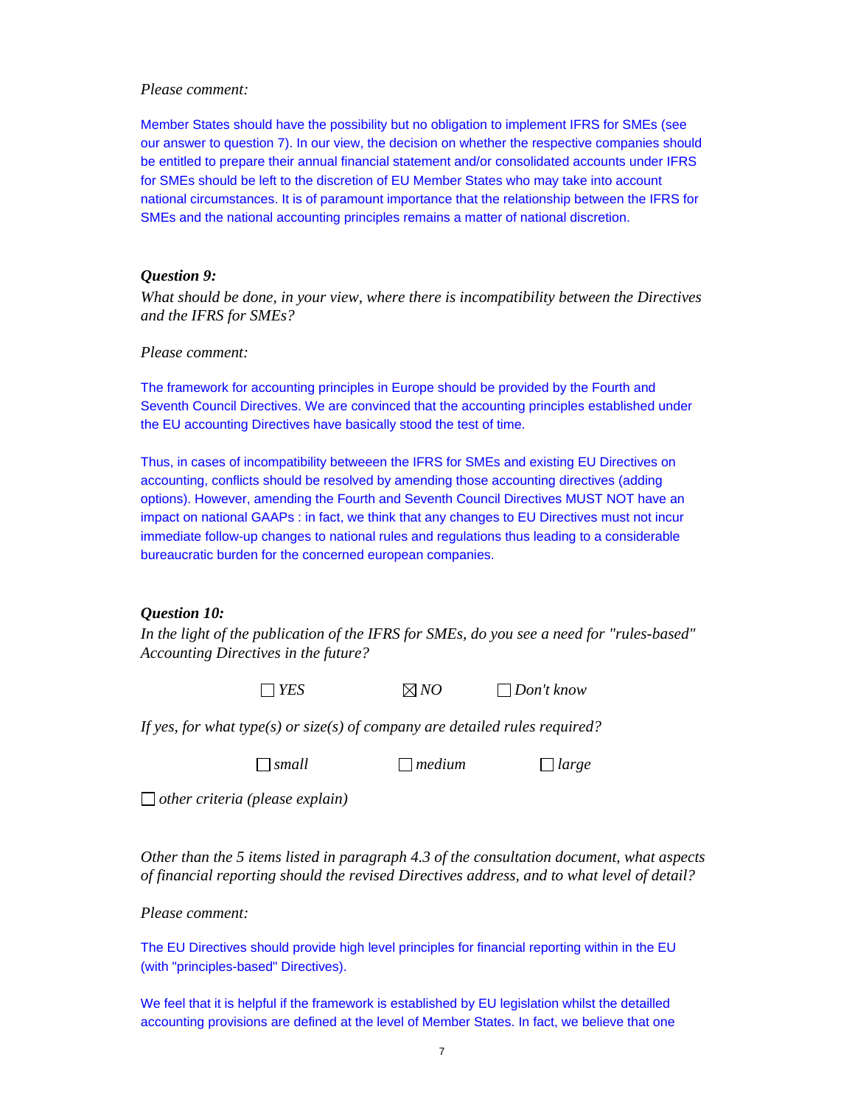#### *Please comment:*

Member States should have the possibility but no obligation to implement IFRS for SMEs (see our answer to question 7). In our view, the decision on whether the respective companies should be entitled to prepare their annual financial statement and/or consolidated accounts under IFRS for SMEs should be left to the discretion of EU Member States who may take into account national circumstances. It is of paramount importance that the relationship between the IFRS for SMEs and the national accounting principles remains a matter of national discretion.

#### *Question 9:*

*What should be done, in your view, where there is incompatibility between the Directives and the IFRS for SMEs?* 

#### *Please comment:*

The framework for accounting principles in Europe should be provided by the Fourth and Seventh Council Directives. We are convinced that the accounting principles established under the EU accounting Directives have basically stood the test of time.

Thus, in cases of incompatibility betweeen the IFRS for SMEs and existing EU Directives on accounting, conflicts should be resolved by amending those accounting directives (adding options). However, amending the Fourth and Seventh Council Directives MUST NOT have an impact on national GAAPs : in fact, we think that any changes to EU Directives must not incur immediate follow-up changes to national rules and regulations thus leading to a considerable bureaucratic burden for the concerned european companies.

#### *Question 10:*

*In the light of the publication of the IFRS for SMEs, do you see a need for "rules-based" Accounting Directives in the future?* 

*YES NO Don't know* 

*If yes, for what type(s) or size(s) of company are detailed rules required?* 

*small medium large* 

*other criteria (please explain)* 

*Other than the 5 items listed in paragraph 4.3 of the consultation document, what aspects of financial reporting should the revised Directives address, and to what level of detail?* 

*Please comment:* 

The EU Directives should provide high level principles for financial reporting within in the EU (with "principles-based" Directives).

We feel that it is helpful if the framework is established by EU legislation whilst the detailled accounting provisions are defined at the level of Member States. In fact, we believe that one